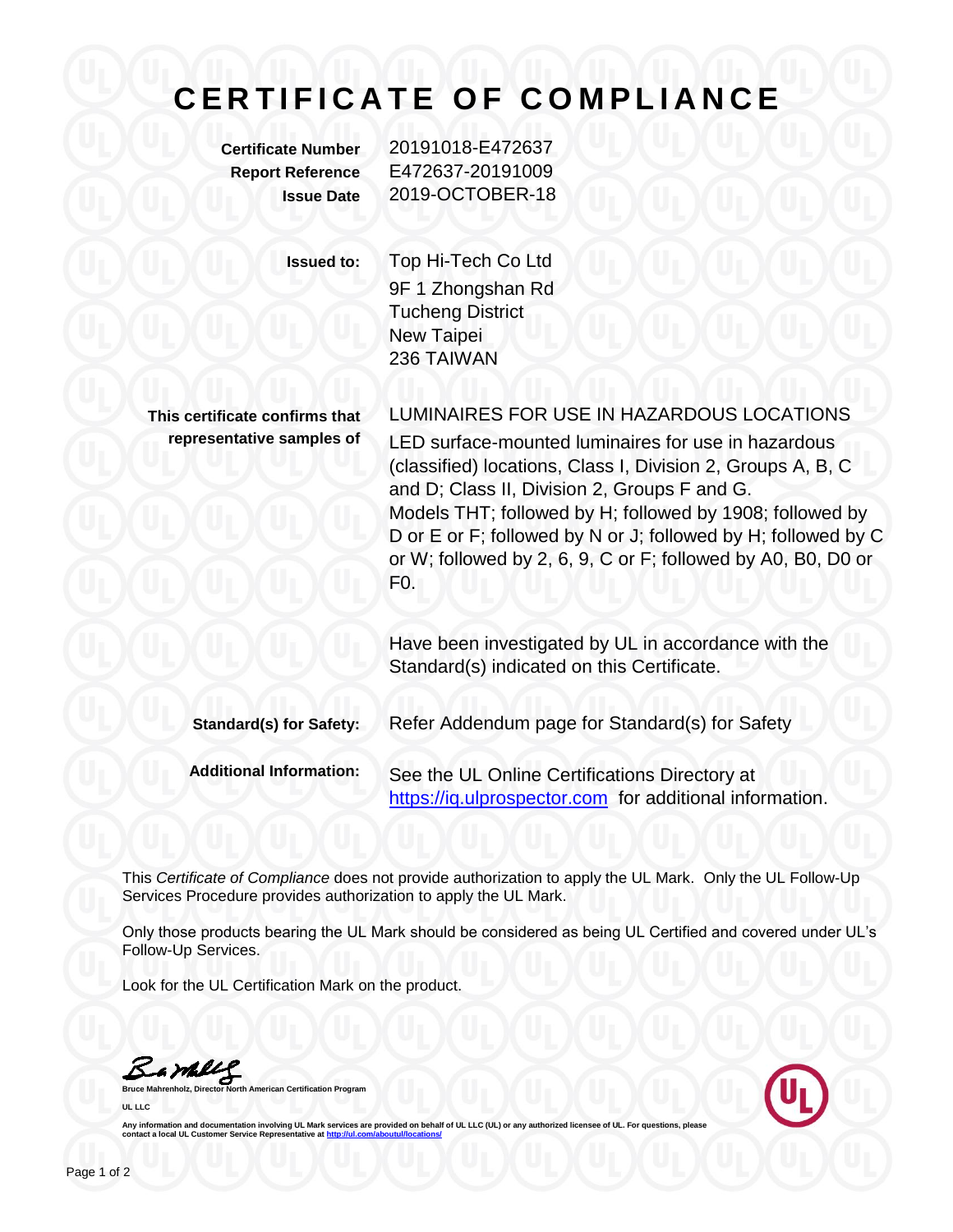## **C E R T I F I C A T E O F C O M P L I A N C E**

**Certificate Number** 20191018-E472637 **Report Reference** E472637-20191009 **Issue Date** 2019-OCTOBER-18

**Issued to:** Top Hi-Tech Co Ltd 9F 1 Zhongshan Rd Tucheng District New Taipei 236 TAIWAN

**This certificate confirms that representative samples of** LUMINAIRES FOR USE IN HAZARDOUS LOCATIONS LED surface-mounted luminaires for use in hazardous (classified) locations, Class I, Division 2, Groups A, B, C and D; Class II, Division 2, Groups F and G. Models THT; followed by H; followed by 1908; followed by D or E or F; followed by N or J; followed by H; followed by C or W; followed by 2, 6, 9, C or F; followed by A0, B0, D0 or F0.

Have been investigated by UL in accordance with the Standard(s) indicated on this Certificate.

**Standard(s) for Safety:** Refer Addendum page for Standard(s) for Safety **Additional Information:** See the UL Online Certifications Directory at https://iq.ulprospector.com for additional information.

This *Certificate of Compliance* does not provide authorization to apply the UL Mark. Only the UL Follow-Up Services Procedure provides authorization to apply the UL Mark.

Only those products bearing the UL Mark should be considered as being UL Certified and covered under UL's Follow-Up Services.

Look for the UL Certification Mark on the product.

Barbly

**Bruce Mannest Certification Program UL LLC**



Any information and documentation involving UL Mark services are provided on behalf of UL LLC (UL) or any authorized licensee of UL. For questions, please<br>contact a local UL Customer Service Representative at <u>http://ul.co</u>